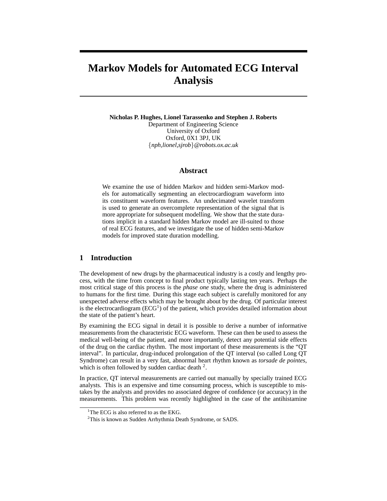# **Markov Models for Automated ECG Interval Analysis**

**Nicholas P. Hughes, Lionel Tarassenko and Stephen J. Roberts** Department of Engineering Science University of Oxford Oxford, 0X1 3PJ, UK {*nph,lionel,sjrob*}*@robots.ox.ac.uk*

## **Abstract**

We examine the use of hidden Markov and hidden semi-Markov models for automatically segmenting an electrocardiogram waveform into its constituent waveform features. An undecimated wavelet transform is used to generate an overcomplete representation of the signal that is more appropriate for subsequent modelling. We show that the state durations implicit in a standard hidden Markov model are ill-suited to those of real ECG features, and we investigate the use of hidden semi-Markov models for improved state duration modelling.

# **1 Introduction**

The development of new drugs by the pharmaceutical industry is a costly and lengthy process, with the time from concept to final product typically lasting ten years. Perhaps the most critical stage of this process is the *phase one* study, where the drug is administered to humans for the first time. During this stage each subject is carefully monitored for any unexpected adverse effects which may be brought about by the drug. Of particular interest is the electrocardiogram  $(ECG<sup>1</sup>)$  of the patient, which provides detailed information about the state of the patient's heart.

By examining the ECG signal in detail it is possible to derive a number of informative measurements from the characteristic ECG waveform. These can then be used to assess the medical well-being of the patient, and more importantly, detect any potential side effects of the drug on the cardiac rhythm. The most important of these measurements is the "QT interval". In particular, drug-induced prolongation of the QT interval (so called Long QT Syndrome) can result in a very fast, abnormal heart rhythm known as *torsade de pointes*, which is often followed by sudden cardiac death  $2$ .

In practice, QT interval measurements are carried out manually by specially trained ECG analysts. This is an expensive and time consuming process, which is susceptible to mistakes by the analysts and provides no associated degree of confidence (or accuracy) in the measurements. This problem was recently highlighted in the case of the antihistamine

<sup>&</sup>lt;sup>1</sup>The ECG is also referred to as the EKG.

<sup>&</sup>lt;sup>2</sup>This is known as Sudden Arrhythmia Death Syndrome, or SADS.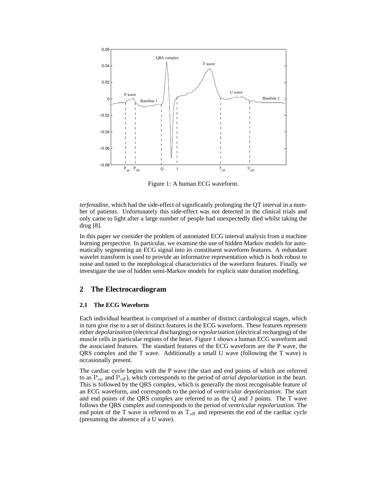

Figure 1: A human ECG waveform.

*terfenadine*, which had the side-effect of significantly prolonging the QT interval in a number of patients. Unfortunately this side-effect was not detected in the clinical trials and only came to light after a large number of people had unexpectedly died whilst taking the drug [8].

In this paper we consider the problem of automated ECG interval analysis from a machine learning perspective. In particular, we examine the use of hidden Markov models for automatically segmenting an ECG signal into its constituent waveform features. A redundant wavelet transform is used to provide an informative representation which is both robust to noise and tuned to the morphological characteristics of the waveform features. Finally we investigate the use of hidden semi-Markov models for explicit state duration modelling.

# **2 The Electrocardiogram**

## **2.1 The ECG Waveform**

Each individual heartbeat is comprised of a number of distinct cardiological stages, which in turn give rise to a set of distinct features in the ECG waveform. These features represent either *depolarization* (electrical discharging) or *repolarization* (electrical recharging) of the muscle cells in particular regions of the heart. Figure 1 shows a human ECG waveform and the associated features. The standard features of the ECG waveform are the P wave, the QRS complex and the T wave. Additionally a small U wave (following the T wave) is occasionally present.

The cardiac cycle begins with the P wave (the start and end points of which are referred to as Pon and Poff), which corresponds to the period of *atrial depolarization* in the heart. This is followed by the QRS complex, which is generally the most recognisable feature of an ECG waveform, and corresponds to the period of *ventricular depolarization*. The start and end points of the QRS complex are referred to as the Q and J points. The T wave follows the QRS complex and corresponds to the period of *ventricular repolarization*. The end point of the T wave is referred to as  $T<sub>off</sub>$  and represents the end of the cardiac cycle (presuming the absence of a U wave).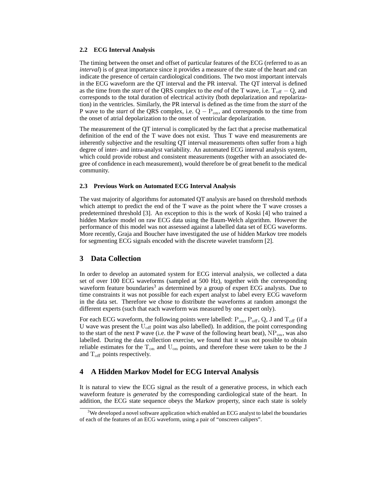#### **2.2 ECG Interval Analysis**

The timing between the onset and offset of particular features of the ECG (referred to as an *interval*) is of great importance since it provides a measure of the state of the heart and can indicate the presence of certain cardiological conditions. The two most important intervals in the ECG waveform are the QT interval and the PR interval. The QT interval is defined as the time from the *start* of the QRS complex to the *end* of the T wave, i.e. T<sub>off</sub> − Q, and corresponds to the total duration of electrical activity (both depolarization and repolarization) in the ventricles. Similarly, the PR interval is defined as the time from the *start* of the P wave to the *start* of the QRS complex, i.e.  $Q - P_{on}$ , and corresponds to the time from the onset of atrial depolarization to the onset of ventricular depolarization.

The measurement of the QT interval is complicated by the fact that a precise mathematical definition of the end of the T wave does not exist. Thus T wave end measurements are inherently subjective and the resulting QT interval measurements often suffer from a high degree of inter- and intra-analyst variability. An automated ECG interval analysis system, which could provide robust and consistent measurements (together with an associated degree of confidence in each measurement), would therefore be of great benefit to the medical community.

#### **2.3 Previous Work on Automated ECG Interval Analysis**

The vast majority of algorithms for automated QT analysis are based on threshold methods which attempt to predict the end of the T wave as the point where the T wave crosses a predetermined threshold [3]. An exception to this is the work of Koski [4] who trained a hidden Markov model on raw ECG data using the Baum-Welch algorithm. However the performance of this model was not assessed against a labelled data set of ECG waveforms. More recently, Graja and Boucher have investigated the use of hidden Markov tree models for segmenting ECG signals encoded with the discrete wavelet transform [2].

## **3 Data Collection**

In order to develop an automated system for ECG interval analysis, we collected a data set of over 100 ECG waveforms (sampled at 500 Hz), together with the corresponding waveform feature boundaries<sup>3</sup> as determined by a group of expert ECG analysts. Due to time constraints it was not possible for each expert analyst to label every ECG waveform in the data set. Therefore we chose to distribute the waveforms at random amongst the different experts (such that each waveform was measured by one expert only).

For each ECG waveform, the following points were labelled:  $P_{on}$ ,  $P_{off}$ , Q, J and  $T_{off}$  (if a U wave was present the  $U_{\text{off}}$  point was also labelled). In addition, the point corresponding to the start of the next P wave (i.e. the P wave of the following heart beat),  $NP_{on}$ , was also labelled. During the data collection exercise, we found that it was not possible to obtain reliable estimates for the  $T_{on}$  and  $U_{on}$  points, and therefore these were taken to be the J and  $T_{\text{off}}$  points respectively.

## **4 A Hidden Markov Model for ECG Interval Analysis**

It is natural to view the ECG signal as the result of a generative process, in which each waveform feature is *generated* by the corresponding cardiological state of the heart. In addition, the ECG state sequence obeys the Markov property, since each state is solely

 $3$ We developed a novel software application which enabled an ECG analyst to label the boundaries of each of the features of an ECG waveform, using a pair of "onscreen calipers".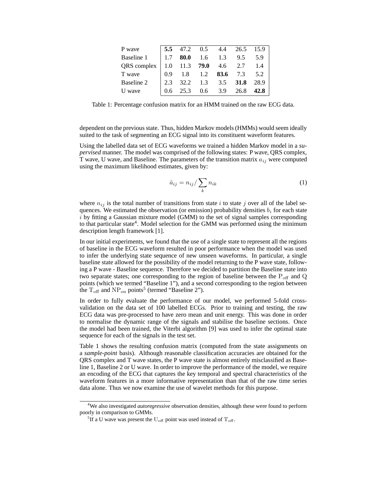| P wave                                  |  | $\begin{bmatrix} 5.5 & 47.2 & 0.5 & 4.4 & 26.5 & 15.9 \end{bmatrix}$            |      |
|-----------------------------------------|--|---------------------------------------------------------------------------------|------|
| Baseline 1                              |  | $1.7$ 80.0 1.6 1.3 9.5 5.9                                                      |      |
| QRS complex   1.0 11.3 79.0 4.6 2.7 1.4 |  |                                                                                 |      |
| T wave                                  |  | $\begin{array}{cccccc} 0.9 & 1.8 & 1.2 & \mathbf{83.6} & 7.3 & 5.2 \end{array}$ |      |
| Baseline 2                              |  | $2.3$ 32.2 1.3 3.5 31.8 28.9                                                    |      |
| U wave                                  |  | $0.6$ 25.3 $0.6$ 3.9 26.8                                                       | 42.8 |
|                                         |  |                                                                                 |      |

Table 1: Percentage confusion matrix for an HMM trained on the raw ECG data.

dependent on the previous state. Thus, hidden Markov models (HMMs) would seem ideally suited to the task of segmenting an ECG signal into its constituent waveform features.

Using the labelled data set of ECG waveforms we trained a hidden Markov model in a *supervised* manner. The model was comprised of the following states: P wave, QRS complex, T wave, U wave, and Baseline. The parameters of the transition matrix  $a_{ij}$  were computed using the maximum likelihood estimates, given by:

$$
\hat{a}_{ij} = n_{ij} / \sum_{k} n_{ik} \tag{1}
$$

where  $n_{ij}$  is the total number of transitions from state i to state j over all of the label sequences. We estimated the observation (or emission) probability densities  $b_i$  for each state  $i$  by fitting a Gaussian mixture model (GMM) to the set of signal samples corresponding to that particular state<sup>4</sup>. Model selection for the GMM was performed using the minimum description length framework [1].

In our initial experiments, we found that the use of a single state to represent all the regions of baseline in the ECG waveform resulted in poor performance when the model was used to infer the underlying state sequence of new unseen waveforms. In particular, a single baseline state allowed for the possibility of the model returning to the P wave state, following a P wave - Baseline sequence. Therefore we decided to partition the Baseline state into two separate states; one corresponding to the region of baseline between the  $P_{\text{off}}$  and Q points (which we termed "Baseline 1"), and a second corresponding to the region between the  $T_{\text{off}}$  and  $NP_{\text{on}}$  points<sup>5</sup> (termed "Baseline 2").

In order to fully evaluate the performance of our model, we performed 5-fold crossvalidation on the data set of 100 labelled ECGs. Prior to training and testing, the raw ECG data was pre-processed to have zero mean and unit energy. This was done in order to normalise the dynamic range of the signals and stabilise the baseline sections. Once the model had been trained, the Viterbi algorithm [9] was used to infer the optimal state sequence for each of the signals in the test set.

Table 1 shows the resulting confusion matrix (computed from the state assignments on a *sample-point* basis). Although reasonable classification accuracies are obtained for the QRS complex and T wave states, the P wave state is almost entirely misclassified as Baseline 1, Baseline 2 or U wave. In order to improve the performance of the model, we require an encoding of the ECG that captures the key temporal and spectral characteristics of the waveform features in a more informative representation than that of the raw time series data alone. Thus we now examine the use of wavelet methods for this purpose.

<sup>&</sup>lt;sup>4</sup>We also investigated *autoregressive* observation densities, although these were found to perform poorly in comparison to GMMs.

<sup>&</sup>lt;sup>5</sup>If a U wave was present the U<sub>off</sub> point was used instead of T<sub>off</sub>.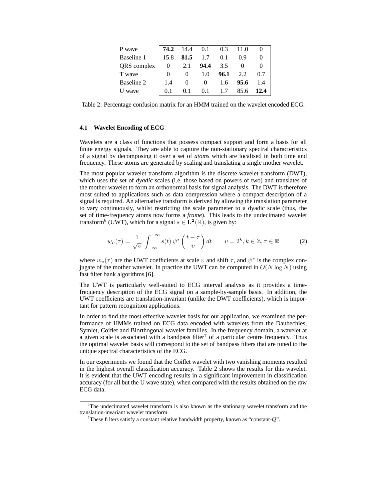| P wave      | $\begin{vmatrix} 74.2 & 14.4 & 0.1 \end{vmatrix}$ |            |          | 0.3   | 11.0 |      |
|-------------|---------------------------------------------------|------------|----------|-------|------|------|
| Baseline 1  | 15.8                                              | 81.5 $1.7$ |          | 0.1   | 0.9  |      |
| QRS complex | $\begin{array}{ccc} \hline \end{array}$           | 2.1        | 94.4     | 3.5   |      |      |
| T wave      | $\theta$                                          | $\theta$   | 1.0      | 96.1  | 2.2  | 0.7  |
| Baseline 2  | 1.4                                               | $\theta$   | $\theta$ | - 1.6 | 95.6 | -1.4 |
| U wave      | 0.1                                               | 0.1        | 0.1      | - 1.7 | 85.6 | 12.4 |

Table 2: Percentage confusion matrix for an HMM trained on the wavelet encoded ECG.

### **4.1 Wavelet Encoding of ECG**

Wavelets are a class of functions that possess compact support and form a basis for all finite energy signals. They are able to capture the non-stationary spectral characteristics of a signal by decomposing it over a set of *atoms* which are localised in both time and frequency. These atoms are generated by scaling and translating a single mother wavelet.

The most popular wavelet transform algorithm is the discrete wavelet transform (DWT), which uses the set of *dyadic* scales (i.e. those based on powers of two) and translates of the mother wavelet to form an orthonormal basis for signal analysis. The DWT is therefore most suited to applications such as data compression where a compact description of a signal is required. An alternative transform is derived by allowing the translation parameter to vary continuously, whilst restricting the scale parameter to a dyadic scale (thus, the set of time-frequency atoms now forms a *frame*). This leads to the undecimated wavelet transform<sup>6</sup> (UWT), which for a signal  $s \in \mathbf{L}^2(\mathbb{R})$ , is given by:

$$
w_{\upsilon}(\tau) = \frac{1}{\sqrt{\upsilon}} \int_{-\infty}^{+\infty} s(t) \, \psi^* \left( \frac{t - \tau}{\upsilon} \right) dt \qquad \upsilon = 2^k, k \in \mathbb{Z}, \tau \in \mathbb{R} \tag{2}
$$

where  $w_v(\tau)$  are the UWT coefficients at scale v and shift  $\tau$ , and  $\psi^*$  is the complex conjugate of the mother wavelet. In practice the UWT can be computed in  $O(N \log N)$  using fast filter bank algorithms [6].

The UWT is particularly well-suited to ECG interval analysis as it provides a timefrequency description of the ECG signal on a sample-by-sample basis. In addition, the UWT coefficients are translation-invariant (unlike the DWT coefficients), which is important for pattern recognition applications.

In order to find the most effective wavelet basis for our application, we examined the performance of HMMs trained on ECG data encoded with wavelets from the Daubechies, Symlet, Coiflet and Biorthogonal wavelet families. In the frequency domain, a wavelet at a given scale is associated with a bandpass filter<sup>7</sup> of a particular centre frequency. Thus the optimal wavelet basis will correspond to the set of bandpass filters that are tuned to the unique spectral characteristics of the ECG.

In our experiments we found that the Coiflet wavelet with two vanishing moments resulted in the highest overall classification accuracy. Table 2 shows the results for this wavelet. It is evident that the UWT encoding results in a significant improvement in classification accuracy (for all but the U wave state), when compared with the results obtained on the raw ECG data.

<sup>&</sup>lt;sup>6</sup>The undecimated wavelet transform is also known as the stationary wavelet transform and the translation-invariant wavelet transform.

<sup>&</sup>lt;sup>7</sup>These filters satisfy a constant relative bandwidth property, known as "constant- $Q$ ".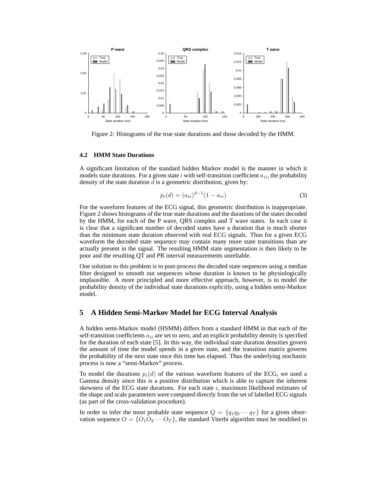

Figure 2: Histograms of the true state durations and those decoded by the HMM.

#### **4.2 HMM State Durations**

A significant limitation of the standard hidden Markov model is the manner in which it models state durations. For a given state i with self-transition coefficient  $a_{ii}$ , the probability density of the state duration  $d$  is a geometric distribution, given by:

$$
p_i(d) = (a_{ii})^{d-1}(1 - a_{ii})
$$
\n(3)

For the waveform features of the ECG signal, this geometric distribution is inappropriate. Figure 2 shows histograms of the true state durations and the durations of the states decoded by the HMM, for each of the P wave, QRS complex and T wave states. In each case it is clear that a significant number of decoded states have a duration that is much shorter than the minimum state duration observed with real ECG signals. Thus for a given ECG waveform the decoded state sequence may contain many more state transitions than are actually present in the signal. The resulting HMM state segmentation is then likely to be poor and the resulting QT and PR interval measurements unreliable.

One solution to this problem is to post-process the decoded state sequences using a median filter designed to smooth out sequences whose duration is known to be physiologically implausible. A more principled and more effective approach, however, is to model the probability density of the individual state durations *explicitly*, using a hidden semi-Markov model.

# **5 A Hidden Semi-Markov Model for ECG Interval Analysis**

A hidden semi-Markov model (HSMM) differs from a standard HMM in that each of the self-transition coefficients  $a_{ij}$  are set to zero, and an explicit probability density is specified for the duration of each state [5]. In this way, the individual state duration densities govern the amount of time the model spends in a given state, and the transition matrix governs the probability of the next state once this time has elapsed. Thus the underlying stochastic process is now a "semi-Markov" process.

To model the durations  $p_i(d)$  of the various waveform features of the ECG, we used a Gamma density since this is a positive distribution which is able to capture the inherent skewness of the ECG state durations. For each state  $i$ , maximum likelihood estimates of the shape and scale parameters were computed directly from the set of labelled ECG signals (as part of the cross-validation procedure).

In order to infer the most probable state sequence  $Q = \{q_1q_2 \cdots q_T\}$  for a given observation sequence  $O = \{O_1O_2 \cdots O_T\}$ , the standard Viterbi algorithm must be modified to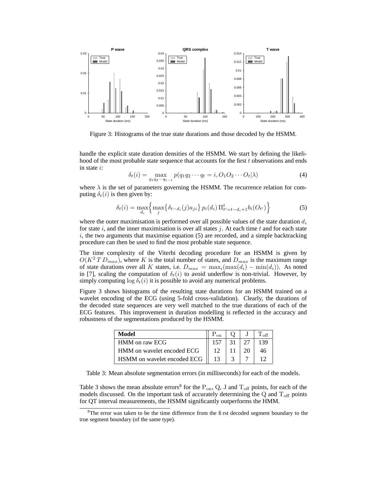

Figure 3: Histograms of the true state durations and those decoded by the HSMM.

handle the explicit state duration densities of the HSMM. We start by defining the likelihood of the most probable state sequence that accounts for the first t observations and ends in state i:

$$
\delta_t(i) = \max_{q_1 q_2 \cdots q_{t-1}} p(q_1 q_2 \cdots q_t = i, O_1 O_2 \cdots O_t | \lambda)
$$
\n(4)

where  $\lambda$  is the set of parameters governing the HSMM. The recurrence relation for computing  $\delta_t(i)$  is then given by:

$$
\delta_t(i) = \max_{d_i} \left\{ \max_j \{ \delta_{t-d_i}(j) a_{ji} \} p_i(d_i) \prod_{t'=t-d_i+1}^t b_i(O_{t'}) \right\}
$$
(5)

where the outer maximisation is performed over all possible values of the state duration  $d_i$ for state i, and the inner maximisation is over all states j. At each time t and for each state  $i$ , the two arguments that maximise equation  $(5)$  are recorded, and a simple backtracking procedure can then be used to find the most probable state sequence.

The time complexity of the Viterbi decoding procedure for an HSMM is given by  $O(K^2 T D_{max})$ , where K is the total number of states, and  $D_{max}$  is the maximum range of state durations over all K states, i.e.  $D_{max} = \max_i(\max(d_i) - \min(d_i))$ . As noted in [7], scaling the computation of  $\delta_t(i)$  to avoid underflow is non-trivial. However, by simply computing  $\log \delta_t(i)$  it is possible to avoid any numerical problems.

Figure 3 shows histograms of the resulting state durations for an HSMM trained on a wavelet encoding of the ECG (using 5-fold cross-validation). Clearly, the durations of the decoded state sequences are very well matched to the true durations of each of the ECG features. This improvement in duration modelling is reflected in the accuracy and robustness of the segmentations produced by the HSMM.

| Model                       |  |  |
|-----------------------------|--|--|
| HMM on raw ECG              |  |  |
| HMM on wavelet encoded ECG  |  |  |
| HSMM on wavelet encoded ECG |  |  |

Table 3: Mean absolute segmentation errors (in milliseconds) for each of the models.

Table 3 shows the mean absolute errors<sup>8</sup> for the  $P_{on}$ , Q, J and  $T_{off}$  points, for each of the models discussed. On the important task of accurately determining the  $Q$  and  $T<sub>off</sub>$  points for QT interval measurements, the HSMM significantly outperforms the HMM.

 $8$ The error was taken to be the time difference from the first decoded segment boundary to the true segment boundary (of the same type).